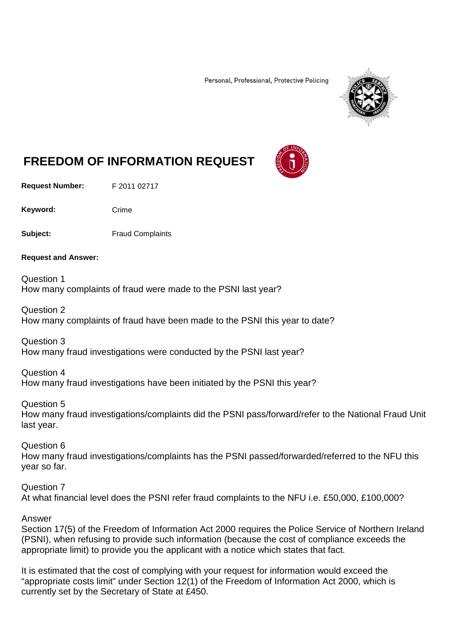Personal, Professional, Protective Policing



## **FREEDOM OF INFORMATION REQUEST**

**Request Number:** F 2011 02717

Keyword: Crime

**Subject:** Fraud Complaints

**Request and Answer:**

Question 1 How many complaints of fraud were made to the PSNI last year?

Question 2 How many complaints of fraud have been made to the PSNI this year to date?

Question 3 How many fraud investigations were conducted by the PSNI last year?

Question 4 How many fraud investigations have been initiated by the PSNI this year?

Question 5 How many fraud investigations/complaints did the PSNI pass/forward/refer to the National Fraud Unit last year.

Question 6 How many fraud investigations/complaints has the PSNI passed/forwarded/referred to the NFU this year so far.

Question 7 At what financial level does the PSNI refer fraud complaints to the NFU i.e. £50,000, £100,000?

Answer

Section 17(5) of the Freedom of Information Act 2000 requires the Police Service of Northern Ireland (PSNI), when refusing to provide such information (because the cost of compliance exceeds the appropriate limit) to provide you the applicant with a notice which states that fact.

It is estimated that the cost of complying with your request for information would exceed the "appropriate costs limit" under Section 12(1) of the Freedom of Information Act 2000, which is currently set by the Secretary of State at £450.